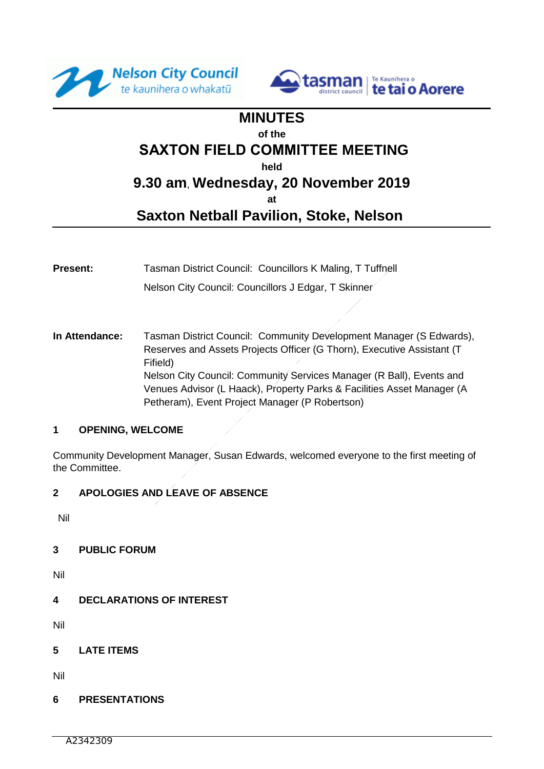



# **MINUTES of the SAXTON FIELD COMMITTEE MEETING held 9.30 am**, **Wednesday, 20 November 2019**

**at**

# **Saxton Netball Pavilion, Stoke, Nelson**

- **Present:** Tasman District Council: Councillors K Maling, T Tuffnell Nelson City Council: Councillors J Edgar, T Skinner
- **In Attendance:** Tasman District Council: Community Development Manager (S Edwards), Reserves and Assets Projects Officer (G Thorn), Executive Assistant (T Fifield) Nelson City Council: Community Services Manager (R Ball), Events and Venues Advisor (L Haack), Property Parks & Facilities Asset Manager (A Petheram), Event Project Manager (P Robertson)

#### **1 OPENING, WELCOME**

Community Development Manager, Susan Edwards, welcomed everyone to the first meeting of the Committee.

#### **2 APOLOGIES AND LEAVE OF ABSENCE**

Nil

#### **3 PUBLIC FORUM**

Nil

**4 DECLARATIONS OF INTEREST**

Nil

**5 LATE ITEMS** 

Nil

# **6 PRESENTATIONS**

A2342309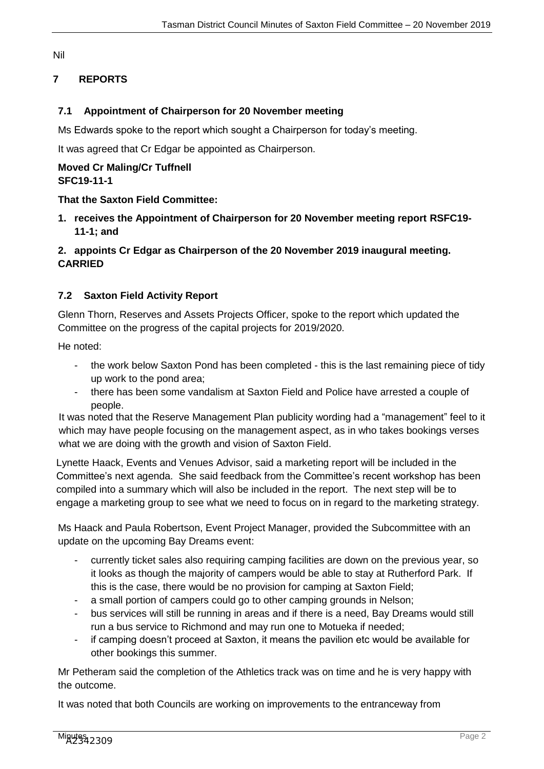#### Nil

# **7 REPORTS**

# **7.1 Appointment of Chairperson for 20 November meeting**

Ms Edwards spoke to the report which sought a Chairperson for today's meeting.

It was agreed that Cr Edgar be appointed as Chairperson.

#### **Moved Cr Maling/Cr Tuffnell SFC19-11-1**

### **That the Saxton Field Committee:**

**1. receives the Appointment of Chairperson for 20 November meeting report RSFC19- 11-1; and**

# **2. appoints Cr Edgar as Chairperson of the 20 November 2019 inaugural meeting. CARRIED**

# **7.2 Saxton Field Activity Report**

Glenn Thorn, Reserves and Assets Projects Officer, spoke to the report which updated the Committee on the progress of the capital projects for 2019/2020.

He noted:

- the work below Saxton Pond has been completed this is the last remaining piece of tidy up work to the pond area;
- there has been some vandalism at Saxton Field and Police have arrested a couple of people.

It was noted that the Reserve Management Plan publicity wording had a "management" feel to it which may have people focusing on the management aspect, as in who takes bookings verses what we are doing with the growth and vision of Saxton Field.

Lynette Haack, Events and Venues Advisor, said a marketing report will be included in the Committee's next agenda. She said feedback from the Committee's recent workshop has been compiled into a summary which will also be included in the report. The next step will be to engage a marketing group to see what we need to focus on in regard to the marketing strategy.

Ms Haack and Paula Robertson, Event Project Manager, provided the Subcommittee with an update on the upcoming Bay Dreams event:

- currently ticket sales also requiring camping facilities are down on the previous year, so it looks as though the majority of campers would be able to stay at Rutherford Park. If this is the case, there would be no provision for camping at Saxton Field;
- a small portion of campers could go to other camping grounds in Nelson;
- bus services will still be running in areas and if there is a need, Bay Dreams would still run a bus service to Richmond and may run one to Motueka if needed;
- if camping doesn't proceed at Saxton, it means the pavilion etc would be available for other bookings this summer.

Mr Petheram said the completion of the Athletics track was on time and he is very happy with the outcome.

It was noted that both Councils are working on improvements to the entranceway from